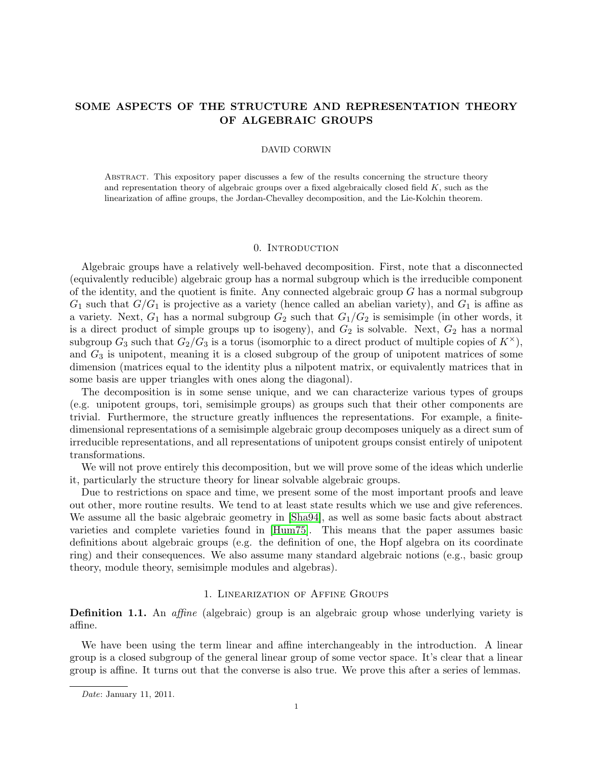# SOME ASPECTS OF THE STRUCTURE AND REPRESENTATION THEORY OF ALGEBRAIC GROUPS

### DAVID CORWIN

Abstract. This expository paper discusses a few of the results concerning the structure theory and representation theory of algebraic groups over a fixed algebraically closed field  $K$ , such as the linearization of affine groups, the Jordan-Chevalley decomposition, and the Lie-Kolchin theorem.

### 0. INTRODUCTION

Algebraic groups have a relatively well-behaved decomposition. First, note that a disconnected (equivalently reducible) algebraic group has a normal subgroup which is the irreducible component of the identity, and the quotient is finite. Any connected algebraic group  $G$  has a normal subgroup  $G_1$  such that  $G/G_1$  is projective as a variety (hence called an abelian variety), and  $G_1$  is affine as a variety. Next,  $G_1$  has a normal subgroup  $G_2$  such that  $G_1/G_2$  is semisimple (in other words, it is a direct product of simple groups up to isogeny), and  $G_2$  is solvable. Next,  $G_2$  has a normal subgroup  $G_3$  such that  $G_2/G_3$  is a torus (isomorphic to a direct product of multiple copies of  $K^{\times}$ ), and  $G_3$  is unipotent, meaning it is a closed subgroup of the group of unipotent matrices of some dimension (matrices equal to the identity plus a nilpotent matrix, or equivalently matrices that in some basis are upper triangles with ones along the diagonal).

The decomposition is in some sense unique, and we can characterize various types of groups (e.g. unipotent groups, tori, semisimple groups) as groups such that their other components are trivial. Furthermore, the structure greatly influences the representations. For example, a finitedimensional representations of a semisimple algebraic group decomposes uniquely as a direct sum of irreducible representations, and all representations of unipotent groups consist entirely of unipotent transformations.

We will not prove entirely this decomposition, but we will prove some of the ideas which underlie it, particularly the structure theory for linear solvable algebraic groups.

Due to restrictions on space and time, we present some of the most important proofs and leave out other, more routine results. We tend to at least state results which we use and give references. We assume all the basic algebraic geometry in [\[Sha94\]](#page-8-0), as well as some basic facts about abstract varieties and complete varieties found in [\[Hum75\]](#page-8-1). This means that the paper assumes basic definitions about algebraic groups (e.g. the definition of one, the Hopf algebra on its coordinate ring) and their consequences. We also assume many standard algebraic notions (e.g., basic group theory, module theory, semisimple modules and algebras).

### 1. Linearization of Affine Groups

**Definition 1.1.** An *affine* (algebraic) group is an algebraic group whose underlying variety is affine.

We have been using the term linear and affine interchangeably in the introduction. A linear group is a closed subgroup of the general linear group of some vector space. It's clear that a linear group is affine. It turns out that the converse is also true. We prove this after a series of lemmas.

Date: January 11, 2011.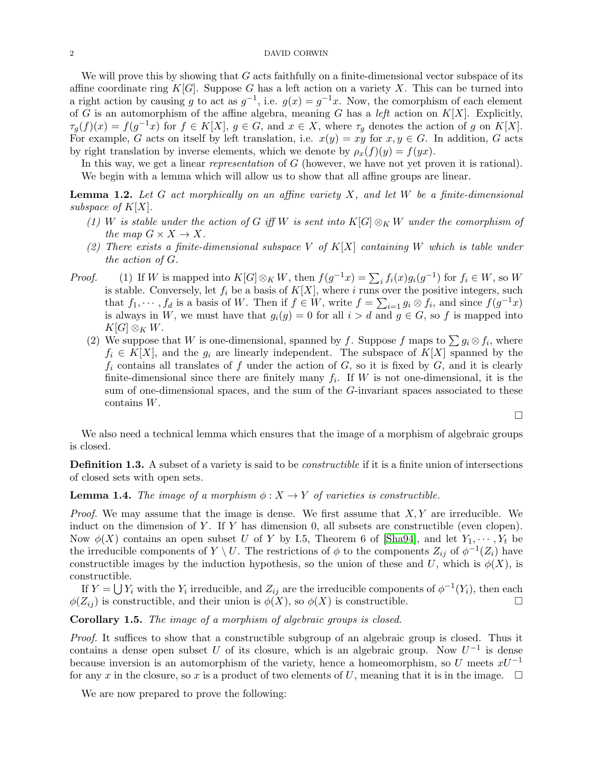#### 2 DAVID CORWIN

We will prove this by showing that  $G$  acts faithfully on a finite-dimensional vector subspace of its affine coordinate ring K[G]. Suppose G has a left action on a variety X. This can be turned into a right action by causing g to act as  $g^{-1}$ , i.e.  $g(x) = g^{-1}x$ . Now, the comorphism of each element of G is an automorphism of the affine algebra, meaning G has a left action on  $K[X]$ . Explicitly,  $\tau_g(f)(x) = f(g^{-1}x)$  for  $f \in K[X], g \in G$ , and  $x \in X$ , where  $\tau_g$  denotes the action of g on  $K[X]$ . For example, G acts on itself by left translation, i.e.  $x(y) = xy$  for  $x, y \in G$ . In addition, G acts by right translation by inverse elements, which we denote by  $\rho_x(f)(y) = f(yx)$ .

In this way, we get a linear *representation* of G (however, we have not yet proven it is rational). We begin with a lemma which will allow us to show that all affine groups are linear.

<span id="page-1-0"></span>**Lemma 1.2.** Let G act morphically on an affine variety X, and let W be a finite-dimensional subspace of  $K[X]$ .

- (1) W is stable under the action of G iff W is sent into  $K[G]\otimes_K W$  under the comorphism of the map  $G \times X \to X$ .
- (2) There exists a finite-dimensional subspace V of  $K[X]$  containing W which is table under the action of G.
- *Proof.* (1) If W is mapped into  $K[G] \otimes_K W$ , then  $f(g^{-1}x) = \sum_i f_i(x)g_i(g^{-1})$  for  $f_i \in W$ , so W is stable. Conversely, let  $f_i$  be a basis of  $K[X]$ , where i runs over the positive integers, such that  $f_1, \dots, f_d$  is a basis of W. Then if  $f \in W$ , write  $f = \sum_{i=1} g_i \otimes f_i$ , and since  $f(g^{-1}x)$ is always in W, we must have that  $g_i(g) = 0$  for all  $i > d$  and  $g \in G$ , so f is mapped into  $K[G]\otimes_K W$ .
	- (2) We suppose that W is one-dimensional, spanned by f. Suppose f maps to  $\sum g_i \otimes f_i$ , where  $f_i \in K[X]$ , and the  $g_i$  are linearly independent. The subspace of  $K[X]$  spanned by the  $f_i$  contains all translates of f under the action of G, so it is fixed by G, and it is clearly finite-dimensional since there are finitely many  $f_i$ . If W is not one-dimensional, it is the sum of one-dimensional spaces, and the sum of the G-invariant spaces associated to these contains W.

 $\Box$ 

We also need a technical lemma which ensures that the image of a morphism of algebraic groups is closed.

**Definition 1.3.** A subset of a variety is said to be *constructible* if it is a finite union of intersections of closed sets with open sets.

**Lemma 1.4.** The image of a morphism  $\phi: X \to Y$  of varieties is constructible.

*Proof.* We may assume that the image is dense. We first assume that  $X, Y$  are irreducible. We induct on the dimension of Y. If Y has dimension  $0$ , all subsets are constructible (even clopen). Now  $\phi(X)$  contains an open subset U of Y by I.5, Theorem 6 of [\[Sha94\]](#page-8-0), and let  $Y_1, \dots, Y_t$  be the irreducible components of  $Y \setminus U$ . The restrictions of  $\phi$  to the components  $Z_{ij}$  of  $\phi^{-1}(Z_i)$  have constructible images by the induction hypothesis, so the union of these and U, which is  $\phi(X)$ , is constructible.

If  $Y = \bigcup Y_i$  with the  $Y_i$  irreducible, and  $Z_{ij}$  are the irreducible components of  $\phi^{-1}(Y_i)$ , then each  $\phi(Z_{ij})$  is constructible, and their union is  $\phi(X)$ , so  $\phi(X)$  is constructible.

<span id="page-1-1"></span>Corollary 1.5. The image of a morphism of algebraic groups is closed.

Proof. It suffices to show that a constructible subgroup of an algebraic group is closed. Thus it contains a dense open subset U of its closure, which is an algebraic group. Now  $U^{-1}$  is dense because inversion is an automorphism of the variety, hence a homeomorphism, so U meets  $xU^{-1}$ for any x in the closure, so x is a product of two elements of U, meaning that it is in the image.  $\Box$ 

We are now prepared to prove the following: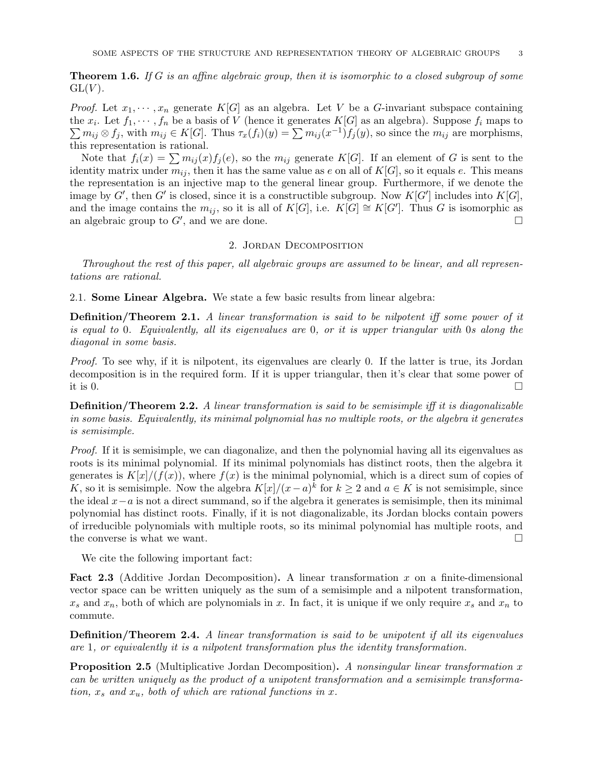**Theorem 1.6.** If G is an affine algebraic group, then it is isomorphic to a closed subgroup of some  $GL(V)$ .

*Proof.* Let  $x_1, \dots, x_n$  generate  $K[G]$  as an algebra. Let V be a G-invariant subspace containing the  $x_i$ . Let  $f_1, \dots, f_n$  be a basis of V (hence it generates  $K[G]$  as an algebra). Suppose  $f_i$  maps to  $\sum m_{ij} \otimes f_j$ , with  $m_{ij} \in K[G]$ . Thus  $\tau_x(f_i)(y) = \sum m_{ij}(x^{-1}) f_j(y)$ , so since the  $m_{ij}$  are morphisms, this representation is rational.

Note that  $f_i(x) = \sum m_{ij}(x) f_j(e)$ , so the  $m_{ij}$  generate  $K[G]$ . If an element of G is sent to the identity matrix under  $m_{ij}$ , then it has the same value as e on all of  $K[G]$ , so it equals e. This means the representation is an injective map to the general linear group. Furthermore, if we denote the image by G', then G' is closed, since it is a constructible subgroup. Now  $K[G']$  includes into  $K[G]$ , and the image contains the  $m_{ij}$ , so it is all of  $K[G]$ , i.e.  $K[G] \cong K[G']$ . Thus G is isomorphic as an algebraic group to  $G'$ , and we are done.

### 2. Jordan Decomposition

Throughout the rest of this paper, all algebraic groups are assumed to be linear, and all representations are rational.

2.1. Some Linear Algebra. We state a few basic results from linear algebra:

**Definition/Theorem 2.1.** A linear transformation is said to be nilpotent iff some power of it is equal to 0. Equivalently, all its eigenvalues are 0, or it is upper triangular with 0s along the diagonal in some basis.

Proof. To see why, if it is nilpotent, its eigenvalues are clearly 0. If the latter is true, its Jordan decomposition is in the required form. If it is upper triangular, then it's clear that some power of it is 0.

**Definition/Theorem 2.2.** A linear transformation is said to be semisimple iff it is diagonalizable in some basis. Equivalently, its minimal polynomial has no multiple roots, or the algebra it generates is semisimple.

Proof. If it is semisimple, we can diagonalize, and then the polynomial having all its eigenvalues as roots is its minimal polynomial. If its minimal polynomials has distinct roots, then the algebra it generates is  $K[x]/(f(x))$ , where  $f(x)$  is the minimal polynomial, which is a direct sum of copies of K, so it is semisimple. Now the algebra  $K[x]/(x-a)^k$  for  $k \ge 2$  and  $a \in K$  is not semisimple, since the ideal  $x-a$  is not a direct summand, so if the algebra it generates is semisimple, then its minimal polynomial has distinct roots. Finally, if it is not diagonalizable, its Jordan blocks contain powers of irreducible polynomials with multiple roots, so its minimal polynomial has multiple roots, and the converse is what we want.  $\Box$ 

We cite the following important fact:

**Fact 2.3** (Additive Jordan Decomposition). A linear transformation x on a finite-dimensional vector space can be written uniquely as the sum of a semisimple and a nilpotent transformation,  $x_s$  and  $x_n$ , both of which are polynomials in x. In fact, it is unique if we only require  $x_s$  and  $x_n$  to commute.

Definition/Theorem 2.4. A linear transformation is said to be unipotent if all its eigenvalues are 1, or equivalently it is a nilpotent transformation plus the identity transformation.

**Proposition 2.5** (Multiplicative Jordan Decomposition). A nonsingular linear transformation x can be written uniquely as the product of a unipotent transformation and a semisimple transformation,  $x_s$  and  $x_u$ , both of which are rational functions in x.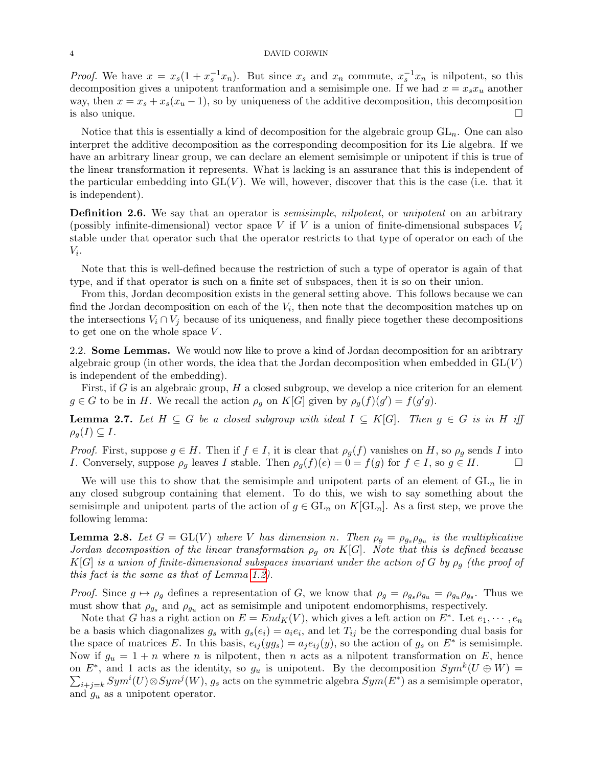#### 4 DAVID CORWIN

*Proof.* We have  $x = x_s(1 + x_s^{-1}x_n)$ . But since  $x_s$  and  $x_n$  commute,  $x_s^{-1}x_n$  is nilpotent, so this decomposition gives a unipotent tranformation and a semisimple one. If we had  $x = x_s x_u$  another way, then  $x = x_s + x_s(x_u - 1)$ , so by uniqueness of the additive decomposition, this decomposition is also unique.  $\Box$ 

Notice that this is essentially a kind of decomposition for the algebraic group  $GL_n$ . One can also interpret the additive decomposition as the corresponding decomposition for its Lie algebra. If we have an arbitrary linear group, we can declare an element semisimple or unipotent if this is true of the linear transformation it represents. What is lacking is an assurance that this is independent of the particular embedding into  $GL(V)$ . We will, however, discover that this is the case (i.e. that it is independent).

Definition 2.6. We say that an operator is *semisimple, nilpotent*, or *unipotent* on an arbitrary (possibly infinite-dimensional) vector space V if V is a union of finite-dimensional subspaces  $V_i$ stable under that operator such that the operator restricts to that type of operator on each of the  $V_i$ .

Note that this is well-defined because the restriction of such a type of operator is again of that type, and if that operator is such on a finite set of subspaces, then it is so on their union.

From this, Jordan decomposition exists in the general setting above. This follows because we can find the Jordan decomposition on each of the  $V_i$ , then note that the decomposition matches up on the intersections  $V_i \cap V_j$  because of its uniqueness, and finally piece together these decompositions to get one on the whole space V .

2.2. Some Lemmas. We would now like to prove a kind of Jordan decomposition for an aribtrary algebraic group (in other words, the idea that the Jordan decomposition when embedded in  $GL(V)$ ) is independent of the embedding).

First, if G is an algebraic group,  $H$  a closed subgroup, we develop a nice criterion for an element  $g \in G$  to be in H. We recall the action  $\rho_g$  on  $K[G]$  given by  $\rho_g(f)(g') = f(g'g)$ .

**Lemma 2.7.** Let  $H \subseteq G$  be a closed subgroup with ideal  $I \subseteq K[G]$ . Then  $g \in G$  is in H iff  $\rho_a(I) \subseteq I$ .

*Proof.* First, suppose  $g \in H$ . Then if  $f \in I$ , it is clear that  $\rho_g(f)$  vanishes on H, so  $\rho_g$  sends I into I. Conversely, suppose  $\rho_q$  leaves I stable. Then  $\rho_q(f)(e) = 0 = f(g)$  for  $f \in I$ , so  $g \in H$ .

We will use this to show that the semisimple and unipotent parts of an element of  $GL_n$  lie in any closed subgroup containing that element. To do this, we wish to say something about the semisimple and unipotent parts of the action of  $g \in GL_n$  on  $K[GL_n]$ . As a first step, we prove the following lemma:

<span id="page-3-0"></span>**Lemma 2.8.** Let  $G = GL(V)$  where V has dimension n. Then  $\rho_g = \rho_{g_s}\rho_{g_u}$  is the multiplicative Jordan decomposition of the linear transformation  $\rho_g$  on K[G]. Note that this is defined because  $K[G]$  is a union of finite-dimensional subspaces invariant under the action of G by  $\rho_q$  (the proof of this fact is the same as that of Lemma [1.2\)](#page-1-0).

*Proof.* Since  $g \mapsto \rho_g$  defines a representation of G, we know that  $\rho_g = \rho_{g_s} \rho_{g_u} = \rho_{g_u} \rho_{g_s}$ . Thus we must show that  $\rho_{g_s}$  and  $\rho_{g_u}$  act as semisimple and unipotent endomorphisms, respectively.

Note that G has a right action on  $E = End_K(V)$ , which gives a left action on  $E^*$ . Let  $e_1, \dots, e_n$ be a basis which diagonalizes  $g_s$  with  $g_s(e_i) = a_i e_i$ , and let  $T_{ij}$  be the corresponding dual basis for the space of matrices E. In this basis,  $e_{ij}(yg_s) = a_j e_{ij}(y)$ , so the action of  $g_s$  on  $E^*$  is semisimple. Now if  $g_u = 1 + n$  where n is nilpotent, then n acts as a nilpotent transformation on E, hence on  $E^*$ , and 1 acts as the identity, so  $g_u$  is unipotent. By the decomposition  $Sym^k(U \oplus W)$  =  $\sum_{i+j=k}Sym^{i}(U) \otimes Sym^{j}(W)$ ,  $g_s$  acts on the symmetric algebra  $Sym(E^*)$  as a semisimple operator, and  $g_u$  as a unipotent operator.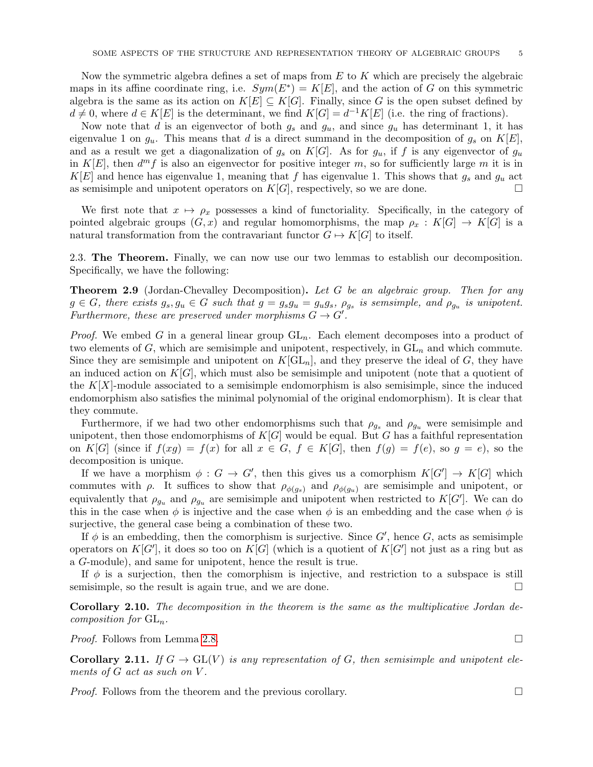Now the symmetric algebra defines a set of maps from  $E$  to  $K$  which are precisely the algebraic maps in its affine coordinate ring, i.e.  $Sym(E^*) = K[E]$ , and the action of G on this symmetric algebra is the same as its action on  $K[E] \subseteq K[G]$ . Finally, since G is the open subset defined by  $d \neq 0$ , where  $d \in K[E]$  is the determinant, we find  $K[G] = d^{-1}K[E]$  (i.e. the ring of fractions).

Now note that d is an eigenvector of both  $g_s$  and  $g_u$ , and since  $g_u$  has determinant 1, it has eigenvalue 1 on  $g_u$ . This means that d is a direct summand in the decomposition of  $g_s$  on  $K[E]$ , and as a result we get a diagonalization of  $g_s$  on  $K[G]$ . As for  $g_u$ , if f is any eigenvector of  $g_u$ in  $K[E]$ , then  $d^{m} f$  is also an eigenvector for positive integer m, so for sufficiently large m it is in  $K[E]$  and hence has eigenvalue 1, meaning that f has eigenvalue 1. This shows that  $g_s$  and  $g_u$  act as semisimple and unipotent operators on  $K[G]$ , respectively, so we are done.

We first note that  $x \mapsto \rho_x$  possesses a kind of functoriality. Specifically, in the category of pointed algebraic groups  $(G, x)$  and regular homomorphisms, the map  $\rho_x : K[G] \to K[G]$  is a natural transformation from the contravariant functor  $G \mapsto K[G]$  to itself.

2.3. The Theorem. Finally, we can now use our two lemmas to establish our decomposition. Specifically, we have the following:

**Theorem 2.9** (Jordan-Chevalley Decomposition). Let G be an algebraic group. Then for any  $g \in G$ , there exists  $g_s, g_u \in G$  such that  $g = g_s g_u = g_u g_s$ ,  $\rho_{g_s}$  is semsimple, and  $\rho_{g_u}$  is unipotent. Furthermore, these are preserved under morphisms  $G \to G'$ .

*Proof.* We embed G in a general linear group  $GL_n$ . Each element decomposes into a product of two elements of  $G$ , which are semisimple and unipotent, respectively, in  $GL_n$  and which commute. Since they are semisimple and unipotent on  $K[\mathrm{GL}_n]$ , and they preserve the ideal of G, they have an induced action on  $K[G]$ , which must also be semisimple and unipotent (note that a quotient of the  $K[X]$ -module associated to a semisimple endomorphism is also semisimple, since the induced endomorphism also satisfies the minimal polynomial of the original endomorphism). It is clear that they commute.

Furthermore, if we had two other endomorphisms such that  $\rho_{g_s}$  and  $\rho_{g_u}$  were semisimple and unipotent, then those endomorphisms of  $K[G]$  would be equal. But G has a faithful representation on K[G] (since if  $f(xg) = f(x)$  for all  $x \in G$ ,  $f \in K[G]$ , then  $f(g) = f(e)$ , so  $g = e$ ), so the decomposition is unique.

If we have a morphism  $\phi: G \to G'$ , then this gives us a comorphism  $K[G'] \to K[G]$  which commutes with  $\rho$ . It suffices to show that  $\rho_{\phi(g_s)}$  and  $\rho_{\phi(g_u)}$  are semisimple and unipotent, or equivalently that  $\rho_{g_u}$  and  $\rho_{g_u}$  are semisimple and unipotent when restricted to  $K[G']$ . We can do this in the case when  $\phi$  is injective and the case when  $\phi$  is an embedding and the case when  $\phi$  is surjective, the general case being a combination of these two.

If  $\phi$  is an embedding, then the comorphism is surjective. Since  $G'$ , hence G, acts as semisimple operators on  $K[G']$ , it does so too on  $K[G]$  (which is a quotient of  $K[G']$  not just as a ring but as a G-module), and same for unipotent, hence the result is true.

If  $\phi$  is a surjection, then the comorphism is injective, and restriction to a subspace is still semisimple, so the result is again true, and we are done.

Corollary 2.10. The decomposition in the theorem is the same as the multiplicative Jordan decomposition for  $GL_n$ .

*Proof.* Follows from Lemma [2.8.](#page-3-0) □

**Corollary 2.11.** If  $G \to GL(V)$  is any representation of G, then semisimple and unipotent elements of  $G$  act as such on  $V$ .

*Proof.* Follows from the theorem and the previous corollary.  $\square$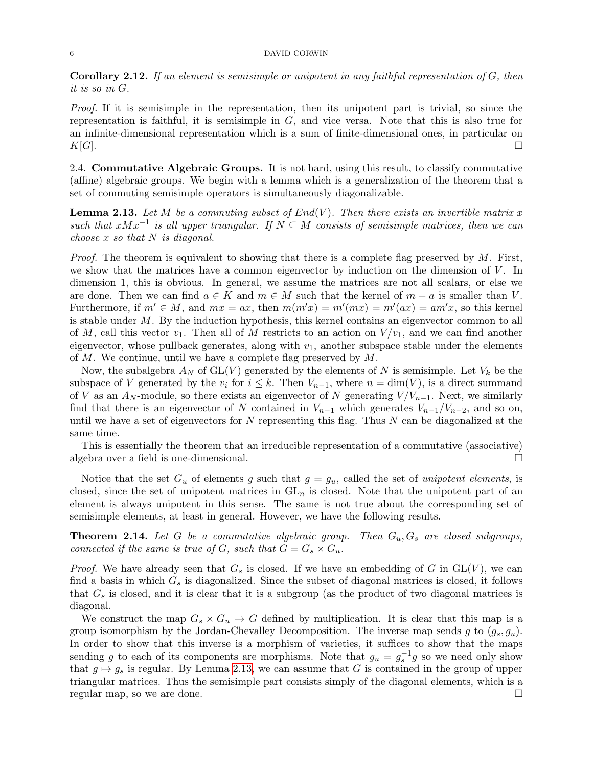Corollary 2.12. If an element is semisimple or unipotent in any faithful representation of G, then it is so in G.

Proof. If it is semisimple in the representation, then its unipotent part is trivial, so since the representation is faithful, it is semisimple in  $G$ , and vice versa. Note that this is also true for an infinite-dimensional representation which is a sum of finite-dimensional ones, in particular on  $K[G]$ .

2.4. Commutative Algebraic Groups. It is not hard, using this result, to classify commutative (affine) algebraic groups. We begin with a lemma which is a generalization of the theorem that a set of commuting semisimple operators is simultaneously diagonalizable.

<span id="page-5-0"></span>**Lemma 2.13.** Let M be a commuting subset of  $End(V)$ . Then there exists an invertible matrix x such that  $xMx^{-1}$  is all upper triangular. If  $N \subseteq M$  consists of semisimple matrices, then we can choose  $x$  so that  $N$  is diagonal.

*Proof.* The theorem is equivalent to showing that there is a complete flag preserved by  $M$ . First, we show that the matrices have a common eigenvector by induction on the dimension of  $V$ . In dimension 1, this is obvious. In general, we assume the matrices are not all scalars, or else we are done. Then we can find  $a \in K$  and  $m \in M$  such that the kernel of  $m - a$  is smaller than V. Furthermore, if  $m' \in M$ , and  $mx = ax$ , then  $m(m'x) = m'(mx) = m'(ax) = am'x$ , so this kernel is stable under  $M$ . By the induction hypothesis, this kernel contains an eigenvector common to all of M, call this vector  $v_1$ . Then all of M restricts to an action on  $V/v_1$ , and we can find another eigenvector, whose pullback generates, along with  $v_1$ , another subspace stable under the elements of M. We continue, until we have a complete flag preserved by M.

Now, the subalgebra  $A_N$  of  $GL(V)$  generated by the elements of N is semisimple. Let  $V_k$  be the subspace of V generated by the  $v_i$  for  $i \leq k$ . Then  $V_{n-1}$ , where  $n = \dim(V)$ , is a direct summand of V as an  $A_N$ -module, so there exists an eigenvector of N generating  $V/V_{n-1}$ . Next, we similarly find that there is an eigenvector of N contained in  $V_{n-1}$  which generates  $V_{n-1}/V_{n-2}$ , and so on, until we have a set of eigenvectors for  $N$  representing this flag. Thus  $N$  can be diagonalized at the same time.

This is essentially the theorem that an irreducible representation of a commutative (associative) algebra over a field is one-dimensional.

Notice that the set  $G_u$  of elements g such that  $g = g_u$ , called the set of unipotent elements, is closed, since the set of unipotent matrices in  $GL_n$  is closed. Note that the unipotent part of an element is always unipotent in this sense. The same is not true about the corresponding set of semisimple elements, at least in general. However, we have the following results.

**Theorem 2.14.** Let G be a commutative algebraic group. Then  $G_u, G_s$  are closed subgroups, connected if the same is true of G, such that  $G = G_s \times G_u$ .

*Proof.* We have already seen that  $G_s$  is closed. If we have an embedding of G in  $GL(V)$ , we can find a basis in which  $G_s$  is diagonalized. Since the subset of diagonal matrices is closed, it follows that  $G_s$  is closed, and it is clear that it is a subgroup (as the product of two diagonal matrices is diagonal.

We construct the map  $G_s \times G_u \to G$  defined by multiplication. It is clear that this map is a group isomorphism by the Jordan-Chevalley Decomposition. The inverse map sends g to  $(g_s, g_u)$ . In order to show that this inverse is a morphism of varieties, it suffices to show that the maps sending g to each of its components are morphisms. Note that  $g_u = g_s^{-1}g$  so we need only show that  $g \mapsto g_s$  is regular. By Lemma [2.13,](#page-5-0) we can assume that G is contained in the group of upper triangular matrices. Thus the semisimple part consists simply of the diagonal elements, which is a regular map, so we are done.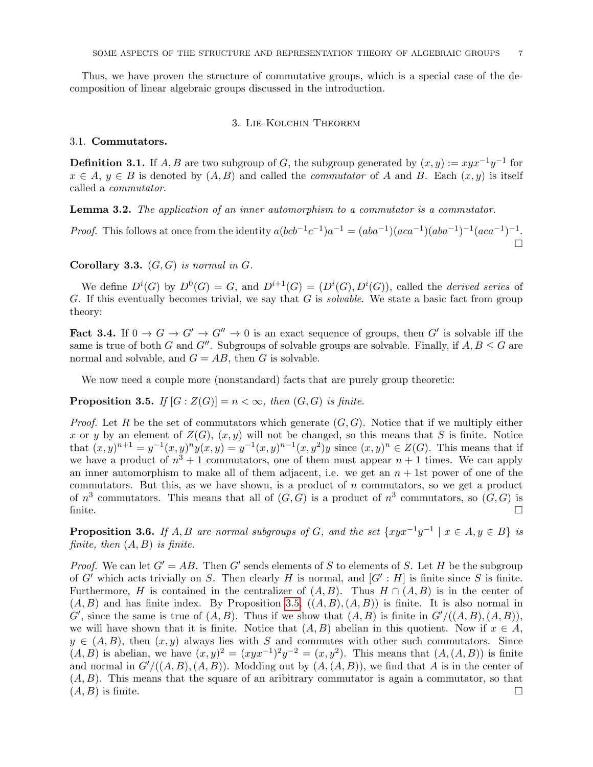Thus, we have proven the structure of commutative groups, which is a special case of the decomposition of linear algebraic groups discussed in the introduction.

## 3. Lie-Kolchin Theorem

### 3.1. Commutators.

**Definition 3.1.** If A, B are two subgroup of G, the subgroup generated by  $(x, y) := xyx^{-1}y^{-1}$  for  $x \in A, y \in B$  is denoted by  $(A, B)$  and called the *commutator* of A and B. Each  $(x, y)$  is itself called a commutator.

<span id="page-6-3"></span>Lemma 3.2. The application of an inner automorphism to a commutator is a commutator.

*Proof.* This follows at once from the identity  $a(bcb^{-1}c^{-1})a^{-1} = (aba^{-1})(aca^{-1})(aba^{-1})^{-1}(aca^{-1})^{-1}$ .  $\Box$ 

Corollary 3.3.  $(G, G)$  is normal in  $G$ .

We define  $D^{i}(G)$  by  $D^{0}(G) = G$ , and  $D^{i+1}(G) = (D^{i}(G), D^{i}(G))$ , called the *derived series* of G. If this eventually becomes trivial, we say that  $G$  is *solvable*. We state a basic fact from group theory:

<span id="page-6-2"></span>**Fact 3.4.** If  $0 \to G \to G'' \to G'' \to 0$  is an exact sequence of groups, then G' is solvable iff the same is true of both G and G''. Subgroups of solvable groups are solvable. Finally, if  $A, B \leq G$  are normal and solvable, and  $G = AB$ , then G is solvable.

We now need a couple more (nonstandard) facts that are purely group theoretic:

<span id="page-6-0"></span>**Proposition 3.5.** If  $[G : Z(G)] = n < \infty$ , then  $(G, G)$  is finite.

*Proof.* Let R be the set of commutators which generate  $(G, G)$ . Notice that if we multiply either x or y by an element of  $Z(G)$ ,  $(x, y)$  will not be changed, so this means that S is finite. Notice that  $(x, y)^{n+1} = y^{-1}(x, y)^n y(x, y) = y^{-1}(x, y)^{n-1}(x, y^2) y$  since  $(x, y)^n \in Z(G)$ . This means that if we have a product of  $n^3 + 1$  commutators, one of them must appear  $n + 1$  times. We can apply an inner automorphism to make all of them adjacent, i.e. we get an  $n + 1$ st power of one of the commutators. But this, as we have shown, is a product of  $n$  commutators, so we get a product of  $n^3$  commutators. This means that all of  $(G, G)$  is a product of  $n^3$  commutators, so  $(G, G)$  is finite.  $\square$ 

<span id="page-6-1"></span>**Proposition 3.6.** If A, B are normal subgroups of G, and the set  $\{xyx^{-1}y^{-1} \mid x \in A, y \in B\}$  is finite, then  $(A, B)$  is finite.

*Proof.* We can let  $G' = AB$ . Then G' sends elements of S to elements of S. Let H be the subgroup of G' which acts trivially on S. Then clearly H is normal, and  $[G': H]$  is finite since S is finite. Furthermore, H is contained in the centralizer of  $(A, B)$ . Thus  $H \cap (A, B)$  is in the center of  $(A, B)$  and has finite index. By Proposition [3.5,](#page-6-0)  $((A, B), (A, B))$  is finite. It is also normal in  $G'$ , since the same is true of  $(A, B)$ . Thus if we show that  $(A, B)$  is finite in  $G' / ((A, B), (A, B))$ , we will have shown that it is finite. Notice that  $(A, B)$  abelian in this quotient. Now if  $x \in A$ ,  $y \in (A, B)$ , then  $(x, y)$  always lies with S and commutes with other such commutators. Since  $(A, B)$  is abelian, we have  $(x, y)^2 = (xyx^{-1})^2y^{-2} = (x, y^2)$ . This means that  $(A, (A, B))$  is finite and normal in  $G'/(A, B), (A, B)$ . Modding out by  $(A, (A, B))$ , we find that A is in the center of  $(A, B)$ . This means that the square of an aribitrary commutator is again a commutator, so that  $(A, B)$  is finite.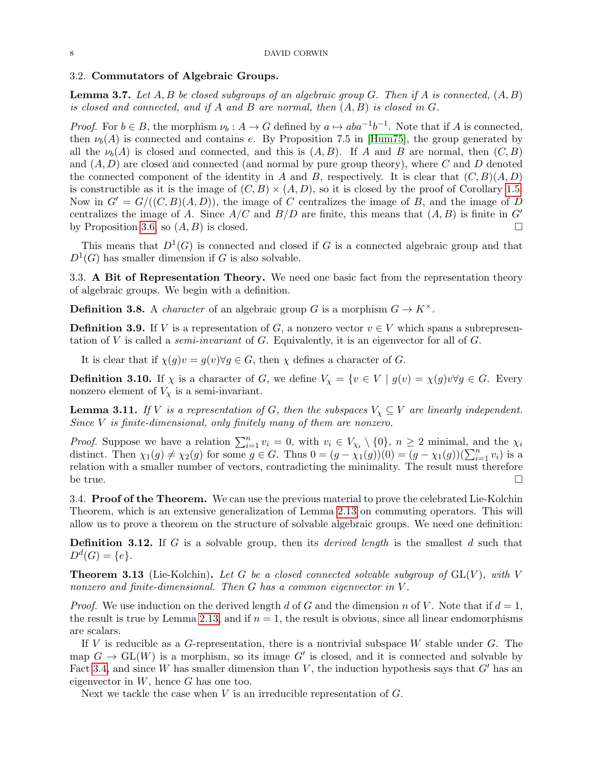### 3.2. Commutators of Algebraic Groups.

<span id="page-7-1"></span>**Lemma 3.7.** Let  $A, B$  be closed subgroups of an algebraic group  $G$ . Then if  $A$  is connected,  $(A, B)$ is closed and connected, and if A and B are normal, then  $(A, B)$  is closed in G.

*Proof.* For  $b \in B$ , the morphism  $\nu_b : A \to G$  defined by  $a \mapsto aba^{-1}b^{-1}$ . Note that if A is connected, then  $\nu_b(A)$  is connected and contains e. By Proposition 7.5 in [\[Hum75\]](#page-8-1), the group generated by all the  $\nu_b(A)$  is closed and connected, and this is  $(A, B)$ . If A and B are normal, then  $(C, B)$ and  $(A, D)$  are closed and connected (and normal by pure group theory), where C and D denoted the connected component of the identity in A and B, respectively. It is clear that  $(C, B)(A, D)$ is constructible as it is the image of  $(C, B) \times (A, D)$ , so it is closed by the proof of Corollary [1.5.](#page-1-1) Now in  $G' = G/((C, B)(A, D))$ , the image of C centralizes the image of B, and the image of D centralizes the image of A. Since  $A/C$  and  $B/D$  are finite, this means that  $(A, B)$  is finite in  $G'$ by Proposition [3.6,](#page-6-1) so  $(A, B)$  is closed.

This means that  $D^1(G)$  is connected and closed if G is a connected algebraic group and that  $D^1(G)$  has smaller dimension if G is also solvable.

3.3. A Bit of Representation Theory. We need one basic fact from the representation theory of algebraic groups. We begin with a definition.

**Definition 3.8.** A *character* of an algebraic group G is a morphism  $G \to K^{\times}$ .

**Definition 3.9.** If V is a representation of G, a nonzero vector  $v \in V$  which spans a subrepresentation of V is called a *semi-invariant* of G. Equivalently, it is an eigenvector for all of  $G$ .

It is clear that if  $\chi(g)v = g(v)\forall g \in G$ , then  $\chi$  defines a character of G.

**Definition 3.10.** If  $\chi$  is a character of G, we define  $V_{\chi} = \{v \in V \mid g(v) = \chi(g)v \forall g \in G$ . Every nonzero element of  $V_{\chi}$  is a semi-invariant.

<span id="page-7-0"></span>**Lemma 3.11.** If V is a representation of G, then the subspaces  $V_\chi \subseteq V$  are linearly independent. Since  $V$  is finite-dimensional, only finitely many of them are nonzero.

*Proof.* Suppose we have a relation  $\sum_{i=1}^{n} v_i = 0$ , with  $v_i \in V_{\chi_i} \setminus \{0\}$ ,  $n \ge 2$  minimal, and the  $\chi_i$ distinct. Then  $\chi_1(g) \neq \chi_2(g)$  for some  $g \in G$ . Thus  $0 = (g - \chi_1(g))(0) = (g - \chi_1(g))(\sum_{i=1}^n v_i)$  is a relation with a smaller number of vectors, contradicting the minimality. The result must therefore be true.  $\square$ 

3.4. **Proof of the Theorem.** We can use the previous material to prove the celebrated Lie-Kolchin Theorem, which is an extensive generalization of Lemma [2.13](#page-5-0) on commuting operators. This will allow us to prove a theorem on the structure of solvable algebraic groups. We need one definition:

**Definition 3.12.** If G is a solvable group, then its *derived length* is the smallest  $d$  such that  $D^d(G) = \{e\}.$ 

**Theorem 3.13** (Lie-Kolchin). Let G be a closed connected solvable subgroup of  $GL(V)$ , with V nonzero and finite-dimensional. Then G has a common eigenvector in V.

*Proof.* We use induction on the derived length d of G and the dimension n of V. Note that if  $d = 1$ , the result is true by Lemma [2.13,](#page-5-0) and if  $n = 1$ , the result is obvious, since all linear endomorphisms are scalars.

If V is reducible as a G-representation, there is a nontrivial subspace W stable under  $G$ . The map  $G \to GL(W)$  is a morphism, so its image G' is closed, and it is connected and solvable by Fact [3.4,](#page-6-2) and since W has smaller dimension than V, the induction hypothesis says that  $G'$  has an eigenvector in  $W$ , hence  $G$  has one too.

Next we tackle the case when  $V$  is an irreducible representation of  $G$ .